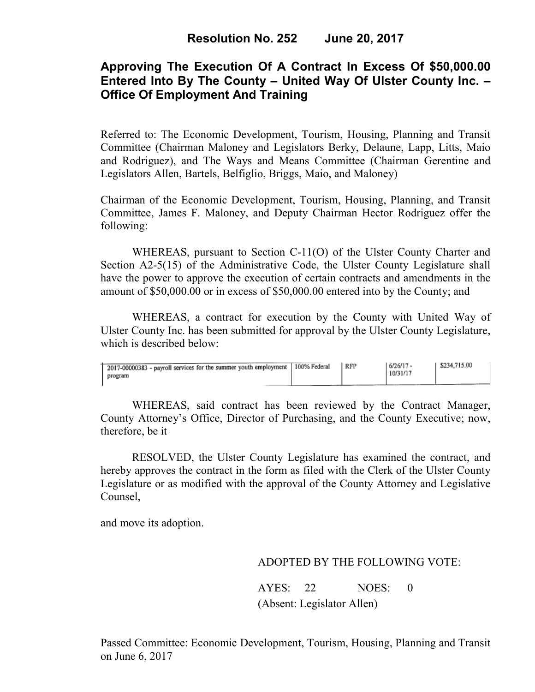# **Approving The Execution Of A Contract In Excess Of \$50,000.00 Entered Into By The County – United Way Of Ulster County Inc. – Office Of Employment And Training**

Referred to: The Economic Development, Tourism, Housing, Planning and Transit Committee (Chairman Maloney and Legislators Berky, Delaune, Lapp, Litts, Maio and Rodriguez), and The Ways and Means Committee (Chairman Gerentine and Legislators Allen, Bartels, Belfiglio, Briggs, Maio, and Maloney)

Chairman of the Economic Development, Tourism, Housing, Planning, and Transit Committee, James F. Maloney, and Deputy Chairman Hector Rodriguez offer the following:

WHEREAS, pursuant to Section C-11(O) of the Ulster County Charter and Section A2-5(15) of the Administrative Code, the Ulster County Legislature shall have the power to approve the execution of certain contracts and amendments in the amount of \$50,000.00 or in excess of \$50,000.00 entered into by the County; and

 WHEREAS, a contract for execution by the County with United Way of Ulster County Inc. has been submitted for approval by the Ulster County Legislature, which is described below:

| 2017-00000383 - payroll services for the summer youth employment   100% Federal<br>program | RFP | $6/26/17 -$<br>10/31/17 | \$234,715.00 |
|--------------------------------------------------------------------------------------------|-----|-------------------------|--------------|
|                                                                                            |     |                         |              |

WHEREAS, said contract has been reviewed by the Contract Manager, County Attorney's Office, Director of Purchasing, and the County Executive; now, therefore, be it

RESOLVED, the Ulster County Legislature has examined the contract, and hereby approves the contract in the form as filed with the Clerk of the Ulster County Legislature or as modified with the approval of the County Attorney and Legislative Counsel,

and move its adoption.

### ADOPTED BY THE FOLLOWING VOTE:

AYES: 22 NOES: 0 (Absent: Legislator Allen)

Passed Committee: Economic Development, Tourism, Housing, Planning and Transit on June 6, 2017